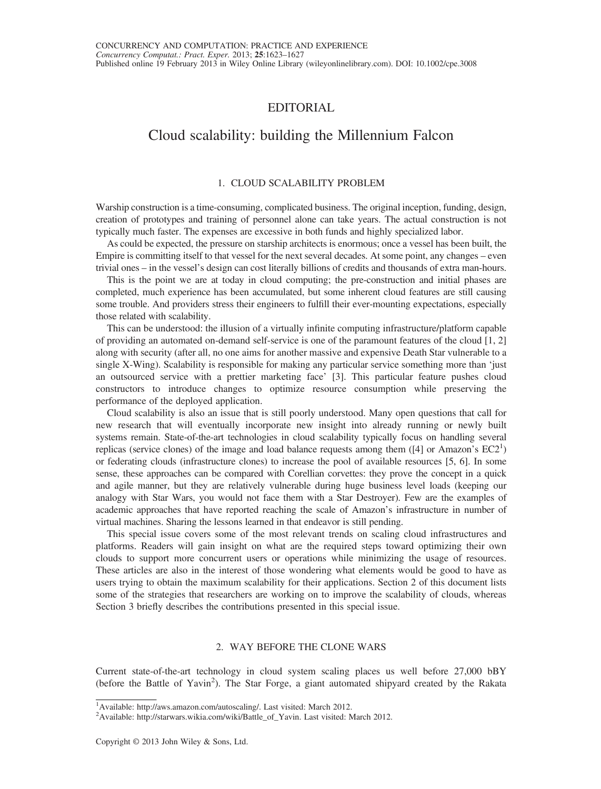# EDITORIAL

# Cloud scalability: building the Millennium Falcon

## 1. CLOUD SCALABILITY PROBLEM

Warship construction is a time-consuming, complicated business. The original inception, funding, design, creation of prototypes and training of personnel alone can take years. The actual construction is not typically much faster. The expenses are excessive in both funds and highly specialized labor.

As could be expected, the pressure on starship architects is enormous; once a vessel has been built, the Empire is committing itself to that vessel for the next several decades. At some point, any changes – even trivial ones – in the vessel's design can cost literally billions of credits and thousands of extra man-hours.

This is the point we are at today in cloud computing; the pre-construction and initial phases are completed, much experience has been accumulated, but some inherent cloud features are still causing some trouble. And providers stress their engineers to fulfill their ever-mounting expectations, especially those related with scalability.

This can be understood: the illusion of a virtually infinite computing infrastructure/platform capable of providing an automated on-demand self-service is one of the paramount features of the cloud [1, 2] along with security (after all, no one aims for another massive and expensive Death Star vulnerable to a single X-Wing). Scalability is responsible for making any particular service something more than 'just an outsourced service with a prettier marketing face' [3]. This particular feature pushes cloud constructors to introduce changes to optimize resource consumption while preserving the performance of the deployed application.

Cloud scalability is also an issue that is still poorly understood. Many open questions that call for new research that will eventually incorporate new insight into already running or newly built systems remain. State-of-the-art technologies in cloud scalability typically focus on handling several replicas (service clones) of the image and load balance requests among them  $([4]$  or Amazon's  $EC2^1$ ) or federating clouds (infrastructure clones) to increase the pool of available resources [5, 6]. In some sense, these approaches can be compared with Corellian corvettes: they prove the concept in a quick and agile manner, but they are relatively vulnerable during huge business level loads (keeping our analogy with Star Wars, you would not face them with a Star Destroyer). Few are the examples of academic approaches that have reported reaching the scale of Amazon's infrastructure in number of virtual machines. Sharing the lessons learned in that endeavor is still pending.

This special issue covers some of the most relevant trends on scaling cloud infrastructures and platforms. Readers will gain insight on what are the required steps toward optimizing their own clouds to support more concurrent users or operations while minimizing the usage of resources. These articles are also in the interest of those wondering what elements would be good to have as users trying to obtain the maximum scalability for their applications. Section 2 of this document lists some of the strategies that researchers are working on to improve the scalability of clouds, whereas Section 3 briefly describes the contributions presented in this special issue.

## 2. WAY BEFORE THE CLONE WARS

Current state-of-the-art technology in cloud system scaling places us well before 27,000 bBY (before the Battle of Yavin<sup>2</sup>). The Star Forge, a giant automated shipyard created by the Rakata

<sup>&</sup>lt;sup>1</sup>Available: [http://aws.amazon.com/autoscaling/.](http://aws.amazon.com/autoscaling/) Last visited: March 2012.

<sup>&</sup>lt;sup>2</sup> Available: [http://starwars.wikia.com/wiki/Battle\\_of\\_Yavin.](http://starwars.wikia.com/wiki/Battle_of_Yavin) Last visited: March 2012.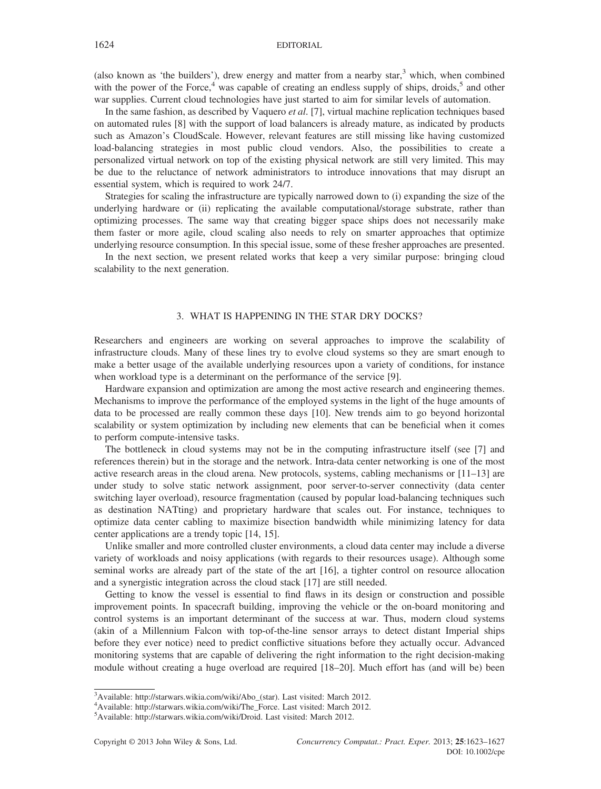(also known as 'the builders'), drew energy and matter from a nearby star, $3$  which, when combined with the power of the Force,<sup>4</sup> was capable of creating an endless supply of ships, droids,<sup>5</sup> and other war supplies. Current cloud technologies have just started to aim for similar levels of automation.

In the same fashion, as described by Vaquero *et al.* [7], virtual machine replication techniques based on automated rules [8] with the support of load balancers is already mature, as indicated by products such as Amazon's CloudScale. However, relevant features are still missing like having customized load-balancing strategies in most public cloud vendors. Also, the possibilities to create a personalized virtual network on top of the existing physical network are still very limited. This may be due to the reluctance of network administrators to introduce innovations that may disrupt an essential system, which is required to work 24/7.

Strategies for scaling the infrastructure are typically narrowed down to (i) expanding the size of the underlying hardware or (ii) replicating the available computational/storage substrate, rather than optimizing processes. The same way that creating bigger space ships does not necessarily make them faster or more agile, cloud scaling also needs to rely on smarter approaches that optimize underlying resource consumption. In this special issue, some of these fresher approaches are presented.

In the next section, we present related works that keep a very similar purpose: bringing cloud scalability to the next generation.

### 3. WHAT IS HAPPENING IN THE STAR DRY DOCKS?

Researchers and engineers are working on several approaches to improve the scalability of infrastructure clouds. Many of these lines try to evolve cloud systems so they are smart enough to make a better usage of the available underlying resources upon a variety of conditions, for instance when workload type is a determinant on the performance of the service [9].

Hardware expansion and optimization are among the most active research and engineering themes. Mechanisms to improve the performance of the employed systems in the light of the huge amounts of data to be processed are really common these days [10]. New trends aim to go beyond horizontal scalability or system optimization by including new elements that can be beneficial when it comes to perform compute-intensive tasks.

The bottleneck in cloud systems may not be in the computing infrastructure itself (see [7] and references therein) but in the storage and the network. Intra-data center networking is one of the most active research areas in the cloud arena. New protocols, systems, cabling mechanisms or [11–13] are under study to solve static network assignment, poor server-to-server connectivity (data center switching layer overload), resource fragmentation (caused by popular load-balancing techniques such as destination NATting) and proprietary hardware that scales out. For instance, techniques to optimize data center cabling to maximize bisection bandwidth while minimizing latency for data center applications are a trendy topic [14, 15].

Unlike smaller and more controlled cluster environments, a cloud data center may include a diverse variety of workloads and noisy applications (with regards to their resources usage). Although some seminal works are already part of the state of the art [16], a tighter control on resource allocation and a synergistic integration across the cloud stack [17] are still needed.

Getting to know the vessel is essential to find flaws in its design or construction and possible improvement points. In spacecraft building, improving the vehicle or the on-board monitoring and control systems is an important determinant of the success at war. Thus, modern cloud systems (akin of a Millennium Falcon with top-of-the-line sensor arrays to detect distant Imperial ships before they ever notice) need to predict conflictive situations before they actually occur. Advanced monitoring systems that are capable of delivering the right information to the right decision-making module without creating a huge overload are required [18–20]. Much effort has (and will be) been

<sup>&</sup>lt;sup>3</sup> Available: http://starwars.wikia.com/wiki/Abo\_(star). Last visited: March 2012.

<sup>4</sup> Available: http://starwars.wikia.com/wiki/The\_Force. Last visited: March 2012.

<sup>5</sup> Available: [http://starwars.wikia.com/wiki/Droid.](http://starwars.wikia.com/wiki/Droid) Last visited: March 2012.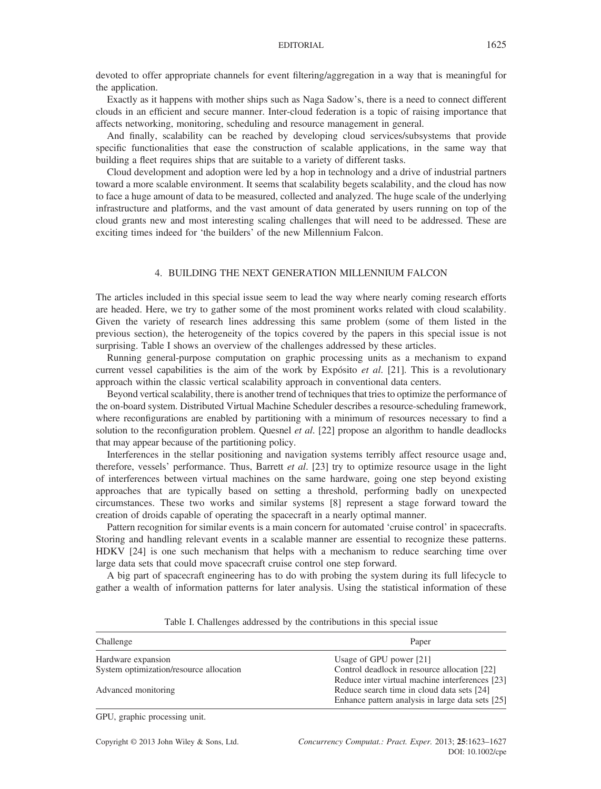devoted to offer appropriate channels for event filtering/aggregation in a way that is meaningful for the application.

Exactly as it happens with mother ships such as Naga Sadow's, there is a need to connect different clouds in an efficient and secure manner. Inter-cloud federation is a topic of raising importance that affects networking, monitoring, scheduling and resource management in general.

And finally, scalability can be reached by developing cloud services/subsystems that provide specific functionalities that ease the construction of scalable applications, in the same way that building a fleet requires ships that are suitable to a variety of different tasks.

Cloud development and adoption were led by a hop in technology and a drive of industrial partners toward a more scalable environment. It seems that scalability begets scalability, and the cloud has now to face a huge amount of data to be measured, collected and analyzed. The huge scale of the underlying infrastructure and platforms, and the vast amount of data generated by users running on top of the cloud grants new and most interesting scaling challenges that will need to be addressed. These are exciting times indeed for 'the builders' of the new Millennium Falcon.

### 4. BUILDING THE NEXT GENERATION MILLENNIUM FALCON

The articles included in this special issue seem to lead the way where nearly coming research efforts are headed. Here, we try to gather some of the most prominent works related with cloud scalability. Given the variety of research lines addressing this same problem (some of them listed in the previous section), the heterogeneity of the topics covered by the papers in this special issue is not surprising. Table I shows an overview of the challenges addressed by these articles.

Running general-purpose computation on graphic processing units as a mechanism to expand current vessel capabilities is the aim of the work by Expósito *et al.* [21]. This is a revolutionary approach within the classic vertical scalability approach in conventional data centers.

Beyond vertical scalability, there is another trend of techniques that tries to optimize the performance of the on-board system. Distributed Virtual Machine Scheduler describes a resource-scheduling framework, where reconfigurations are enabled by partitioning with a minimum of resources necessary to find a solution to the reconfiguration problem. Quesnel *et al.* [22] propose an algorithm to handle deadlocks that may appear because of the partitioning policy.

Interferences in the stellar positioning and navigation systems terribly affect resource usage and, therefore, vessels' performance. Thus, Barrett et al. [23] try to optimize resource usage in the light of interferences between virtual machines on the same hardware, going one step beyond existing approaches that are typically based on setting a threshold, performing badly on unexpected circumstances. These two works and similar systems [8] represent a stage forward toward the creation of droids capable of operating the spacecraft in a nearly optimal manner.

Pattern recognition for similar events is a main concern for automated 'cruise control' in spacecrafts. Storing and handling relevant events in a scalable manner are essential to recognize these patterns. HDKV [24] is one such mechanism that helps with a mechanism to reduce searching time over large data sets that could move spacecraft cruise control one step forward.

A big part of spacecraft engineering has to do with probing the system during its full lifecycle to gather a wealth of information patterns for later analysis. Using the statistical information of these

| Challenge                               | Paper                                            |
|-----------------------------------------|--------------------------------------------------|
| Hardware expansion                      | Usage of GPU power [21]                          |
| System optimization/resource allocation | Control deadlock in resource allocation [22]     |
|                                         | Reduce inter virtual machine interferences [23]  |
| Advanced monitoring                     | Reduce search time in cloud data sets [24]       |
|                                         | Enhance pattern analysis in large data sets [25] |

Table I. Challenges addressed by the contributions in this special issue

GPU, graphic processing unit.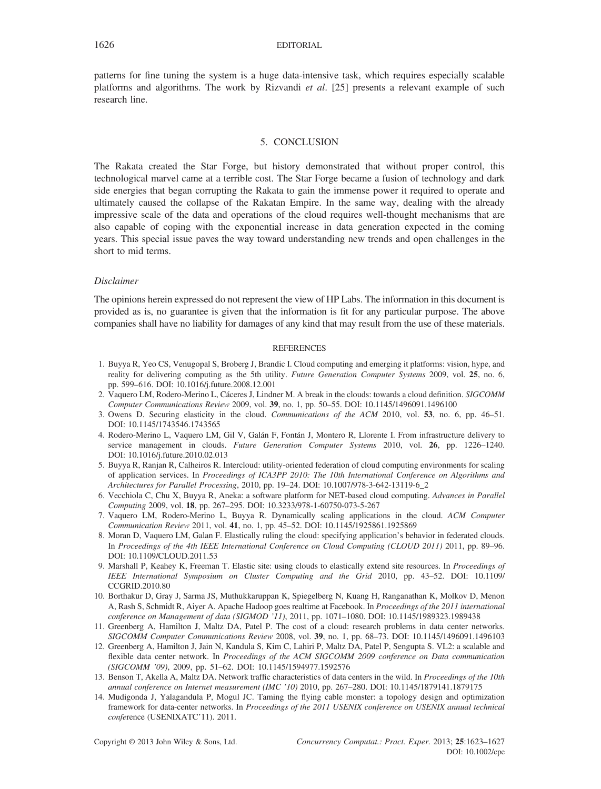patterns for fine tuning the system is a huge data-intensive task, which requires especially scalable platforms and algorithms. The work by Rizvandi et al. [25] presents a relevant example of such research line.

### 5. CONCLUSION

The Rakata created the Star Forge, but history demonstrated that without proper control, this technological marvel came at a terrible cost. The Star Forge became a fusion of technology and dark side energies that began corrupting the Rakata to gain the immense power it required to operate and ultimately caused the collapse of the Rakatan Empire. In the same way, dealing with the already impressive scale of the data and operations of the cloud requires well-thought mechanisms that are also capable of coping with the exponential increase in data generation expected in the coming years. This special issue paves the way toward understanding new trends and open challenges in the short to mid terms.

#### Disclaimer

The opinions herein expressed do not represent the view of HP Labs. The information in this document is provided as is, no guarantee is given that the information is fit for any particular purpose. The above companies shall have no liability for damages of any kind that may result from the use of these materials.

#### **REFERENCES**

- 1. Buyya R, Yeo CS, Venugopal S, Broberg J, Brandic I. Cloud computing and emerging it platforms: vision, hype, and reality for delivering computing as the 5th utility. Future Generation Computer Systems 2009, vol. 25, no. 6, pp. 599–616. DOI: 10.1016/j.future.2008.12.001
- 2. Vaquero LM, Rodero-Merino L, Cáceres J, Lindner M. A break in the clouds: towards a cloud definition. SIGCOMM Computer Communications Review 2009, vol. 39, no. 1, pp. 50–55. DOI: 10.1145/1496091.1496100
- 3. Owens D. Securing elasticity in the cloud. Communications of the ACM 2010, vol. 53, no. 6, pp. 46–51. DOI: 10.1145/1743546.1743565
- 4. Rodero-Merino L, Vaquero LM, Gil V, Galán F, Fontán J, Montero R, Llorente I. From infrastructure delivery to service management in clouds. Future Generation Computer Systems 2010, vol. 26, pp. 1226-1240. DOI: 10.1016/j.future.2010.02.013
- 5. Buyya R, Ranjan R, Calheiros R. Intercloud: utility-oriented federation of cloud computing environments for scaling of application services. In Proceedings of ICA3PP 2010: The 10th International Conference on Algorithms and Architectures for Parallel Processing, 2010, pp. 19–24. DOI: 10.1007/978-3-642-13119-6\_2
- 6. Vecchiola C, Chu X, Buyya R, Aneka: a software platform for NET-based cloud computing. Advances in Parallel Computing 2009, vol. 18, pp. 267–295. DOI: 10.3233/978-1-60750-073-5-267
- 7. Vaquero LM, Rodero-Merino L, Buyya R. Dynamically scaling applications in the cloud. ACM Computer Communication Review 2011, vol. 41, no. 1, pp. 45–52. DOI: 10.1145/1925861.1925869
- 8. Moran D, Vaquero LM, Galan F. Elastically ruling the cloud: specifying application's behavior in federated clouds. In Proceedings of the 4th IEEE International Conference on Cloud Computing (CLOUD 2011) 2011, pp. 89–96. DOI: 10.1109/CLOUD.2011.53
- 9. Marshall P, Keahey K, Freeman T. Elastic site: using clouds to elastically extend site resources. In Proceedings of IEEE International Symposium on Cluster Computing and the Grid 2010, pp. 43–52. DOI: 10.1109/ CCGRID.2010.80
- 10. Borthakur D, Gray J, Sarma JS, Muthukkaruppan K, Spiegelberg N, Kuang H, Ranganathan K, Molkov D, Menon A, Rash S, Schmidt R, Aiyer A. Apache Hadoop goes realtime at Facebook. In Proceedings of the 2011 international conference on Management of data (SIGMOD '11), 2011, pp. 1071–1080. DOI: 10.1145/1989323.1989438
- 11. Greenberg A, Hamilton J, Maltz DA, Patel P. The cost of a cloud: research problems in data center networks. SIGCOMM Computer Communications Review 2008, vol. 39, no. 1, pp. 68–73. DOI: 10.1145/1496091.1496103
- 12. Greenberg A, Hamilton J, Jain N, Kandula S, Kim C, Lahiri P, Maltz DA, Patel P, Sengupta S. VL2: a scalable and flexible data center network. In Proceedings of the ACM SIGCOMM 2009 conference on Data communication (SIGCOMM '09), 2009, pp. 51–62. DOI: 10.1145/1594977.1592576
- 13. Benson T, Akella A, Maltz DA. Network traffic characteristics of data centers in the wild. In Proceedings of the 10th annual conference on Internet measurement (IMC '10) 2010, pp. 267–280. DOI: 10.1145/1879141.1879175
- 14. Mudigonda J, Yalagandula P, Mogul JC. Taming the flying cable monster: a topology design and optimization framework for data-center networks. In Proceedings of the 2011 USENIX conference on USENIX annual technical conference (USENIXATC'11). 2011.